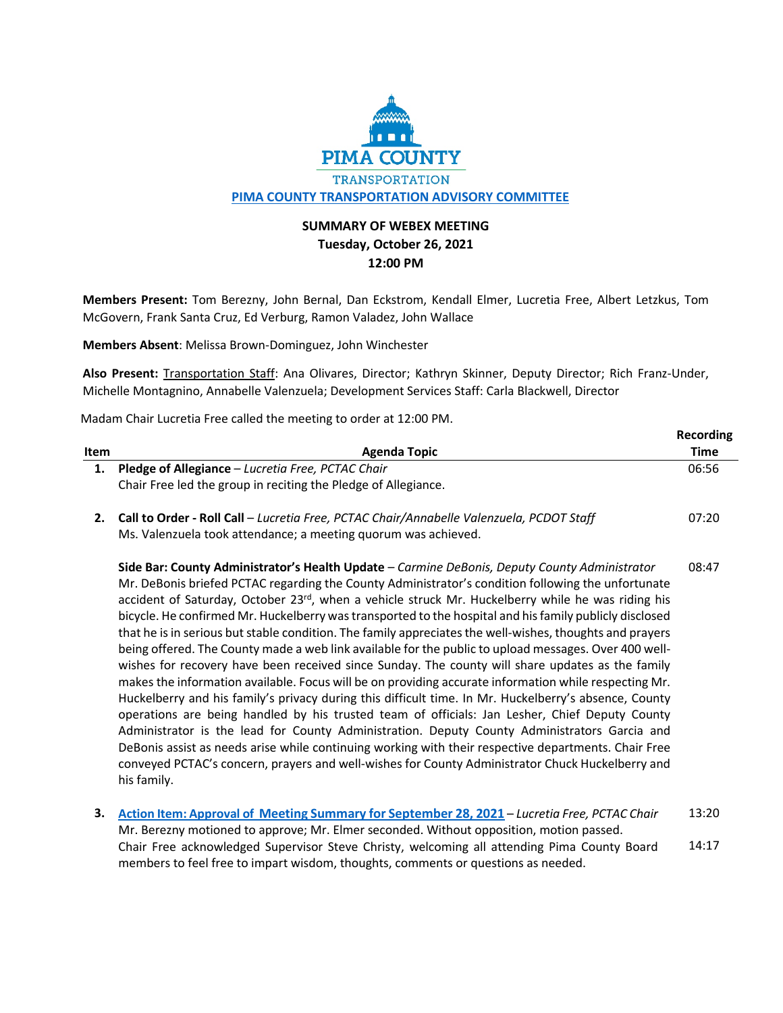

## **SUMMARY OF WEBEX MEETING Tuesday, October 26, 2021 12:00 PM**

**Members Present:** Tom Berezny, John Bernal, Dan Eckstrom, Kendall Elmer, Lucretia Free, Albert Letzkus, Tom McGovern, Frank Santa Cruz, Ed Verburg, Ramon Valadez, John Wallace

**Members Absent**: Melissa Brown-Dominguez, John Winchester

**Also Present:** Transportation Staff: Ana Olivares, Director; Kathryn Skinner, Deputy Director; Rich Franz-Under, Michelle Montagnino, Annabelle Valenzuela; Development Services Staff: Carla Blackwell, Director

Madam Chair Lucretia Free called the meeting to order at 12:00 PM.

|             |                                                                               | Recording            |
|-------------|-------------------------------------------------------------------------------|----------------------|
| <b>Item</b> | Agenda Topic                                                                  | Time                 |
|             | <b>Pledge of Allegiance</b> – Lucretia Free, PCTAC Chair                      | 06:56                |
|             | Chair Free led the group in reciting the Pledge of Allegiance.                |                      |
|             | $-2 - 1 - 2 - 1$<br>- - - -<br>$\sim$ $\sim$ $\sim$ $\sim$ $\sim$ $\sim$<br>. | $\sim$ $\sim$ $\sim$ |

**2. Call to Order - Roll Call** – *Lucretia Free, PCTAC Chair/Annabelle Valenzuela, PCDOT Staff* Ms. Valenzuela took attendance; a meeting quorum was achieved. 07:20

**Side Bar: County Administrator's Health Update** – *Carmine DeBonis, Deputy County Administrator* Mr. DeBonis briefed PCTAC regarding the County Administrator's condition following the unfortunate accident of Saturday, October 23rd, when a vehicle struck Mr. Huckelberry while he was riding his bicycle. He confirmed Mr. Huckelberry wastransported to the hospital and hisfamily publicly disclosed that he is in serious but stable condition. The family appreciates the well-wishes, thoughts and prayers being offered. The County made a web link available for the public to upload messages. Over 400 wellwishes for recovery have been received since Sunday. The county will share updates as the family makes the information available. Focus will be on providing accurate information while respecting Mr. Huckelberry and his family's privacy during this difficult time. In Mr. Huckelberry's absence, County operations are being handled by his trusted team of officials: Jan Lesher, Chief Deputy County Administrator is the lead for County Administration. Deputy County Administrators Garcia and DeBonis assist as needs arise while continuing working with their respective departments. Chair Free conveyed PCTAC's concern, prayers and well-wishes for County Administrator Chuck Huckelberry and his family. 08:47

**3. [Action Item: Approval of Meeting Summary for September 28, 2021](https://webcms.pima.gov/UserFiles/Servers/Server_6/File/Government/Transportation/TransportationAdvisoryCommittee/Minutes/DRAFT_Summary-September28_PCTAC_Mtg.pdf)** – *Lucretia Free, PCTAC Chair* Mr. Berezny motioned to approve; Mr. Elmer seconded. Without opposition, motion passed. Chair Free acknowledged Supervisor Steve Christy, welcoming all attending Pima County Board members to feel free to impart wisdom, thoughts, comments or questions as needed. 13:20 14:17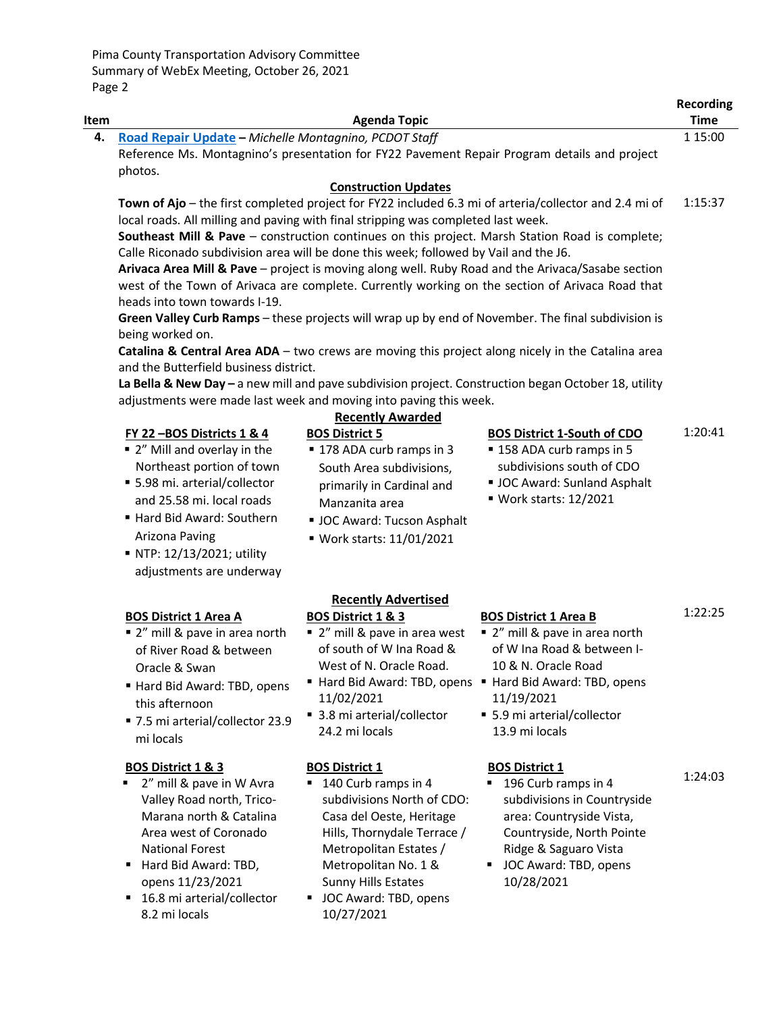Pima County Transportation Advisory Committee Summary of WebEx Meeting, October 26, 2021 Page 2

| Item |                                                                                                                                                                                                                                                                   | <b>Agenda Topic</b>                                                                                                                                                                                                                                          |                                                                                                                                                                                                                                               | <b>Recording</b><br><b>Time</b> |
|------|-------------------------------------------------------------------------------------------------------------------------------------------------------------------------------------------------------------------------------------------------------------------|--------------------------------------------------------------------------------------------------------------------------------------------------------------------------------------------------------------------------------------------------------------|-----------------------------------------------------------------------------------------------------------------------------------------------------------------------------------------------------------------------------------------------|---------------------------------|
| 4.   | Road Repair Update - Michelle Montagnino, PCDOT Staff<br>photos.                                                                                                                                                                                                  |                                                                                                                                                                                                                                                              | Reference Ms. Montagnino's presentation for FY22 Pavement Repair Program details and project                                                                                                                                                  | 1 15:00                         |
|      |                                                                                                                                                                                                                                                                   | <b>Construction Updates</b>                                                                                                                                                                                                                                  |                                                                                                                                                                                                                                               |                                 |
|      | local roads. All milling and paving with final stripping was completed last week.                                                                                                                                                                                 |                                                                                                                                                                                                                                                              | Town of Ajo - the first completed project for FY22 included 6.3 mi of arteria/collector and 2.4 mi of<br>Southeast Mill & Pave - construction continues on this project. Marsh Station Road is complete;                                      | 1:15:37                         |
|      | Calle Riconado subdivision area will be done this week; followed by Vail and the J6.<br>heads into town towards I-19.                                                                                                                                             |                                                                                                                                                                                                                                                              | Arivaca Area Mill & Pave - project is moving along well. Ruby Road and the Arivaca/Sasabe section<br>west of the Town of Arivaca are complete. Currently working on the section of Arivaca Road that                                          |                                 |
|      | being worked on.                                                                                                                                                                                                                                                  |                                                                                                                                                                                                                                                              | Green Valley Curb Ramps - these projects will wrap up by end of November. The final subdivision is<br>Catalina & Central Area ADA - two crews are moving this project along nicely in the Catalina area                                       |                                 |
|      | and the Butterfield business district.<br>adjustments were made last week and moving into paving this week.                                                                                                                                                       |                                                                                                                                                                                                                                                              | La Bella & New Day - a new mill and pave subdivision project. Construction began October 18, utility                                                                                                                                          |                                 |
|      |                                                                                                                                                                                                                                                                   | <b>Recently Awarded</b>                                                                                                                                                                                                                                      |                                                                                                                                                                                                                                               |                                 |
|      | FY 22-BOS Districts 1 & 4<br>" 2" Mill and overlay in the                                                                                                                                                                                                         | <b>BOS District 5</b><br>■ 178 ADA curb ramps in 3                                                                                                                                                                                                           | <b>BOS District 1-South of CDO</b><br>■ 158 ADA curb ramps in 5                                                                                                                                                                               | 1:20:41                         |
|      | Northeast portion of town<br>■ 5.98 mi. arterial/collector<br>and 25.58 mi. local roads                                                                                                                                                                           | South Area subdivisions,<br>primarily in Cardinal and                                                                                                                                                                                                        | subdivisions south of CDO<br>UC Award: Sunland Asphalt<br>■ Work starts: 12/2021                                                                                                                                                              |                                 |
|      | Hard Bid Award: Southern<br>Arizona Paving                                                                                                                                                                                                                        | Manzanita area<br>UC Award: Tucson Asphalt<br>■ Work starts: 11/01/2021                                                                                                                                                                                      |                                                                                                                                                                                                                                               |                                 |
|      | ■ NTP: 12/13/2021; utility<br>adjustments are underway                                                                                                                                                                                                            |                                                                                                                                                                                                                                                              |                                                                                                                                                                                                                                               |                                 |
|      |                                                                                                                                                                                                                                                                   | <b>Recently Advertised</b>                                                                                                                                                                                                                                   |                                                                                                                                                                                                                                               |                                 |
|      | <b>BOS District 1 Area A</b><br>■ 2" mill & pave in area north<br>of River Road & between<br>Oracle & Swan<br>Hard Bid Award: TBD, opens<br>this afternoon<br>■ 7.5 mi arterial/collector 23.9<br>mi locals                                                       | <b>BOS District 1 &amp; 3</b><br>■ 2" mill & pave in area west<br>of south of W Ina Road &<br>West of N. Oracle Road.<br>11/02/2021<br>■ 3.8 mi arterial/collector<br>24.2 mi locals                                                                         | <b>BOS District 1 Area B</b><br>■ 2" mill & pave in area north<br>of W Ina Road & between I-<br>10 & N. Oracle Road<br>Hard Bid Award: TBD, opens • Hard Bid Award: TBD, opens<br>11/19/2021<br>■ 5.9 mi arterial/collector<br>13.9 mi locals | 1:22:25                         |
|      | <b>BOS District 1 &amp; 3</b><br>2" mill & pave in W Avra<br>Valley Road north, Trico-<br>Marana north & Catalina<br>Area west of Coronado<br><b>National Forest</b><br>Hard Bid Award: TBD,<br>opens 11/23/2021<br>■ 16.8 mi arterial/collector<br>8.2 mi locals | <b>BOS District 1</b><br>140 Curb ramps in 4<br>subdivisions North of CDO:<br>Casa del Oeste, Heritage<br>Hills, Thornydale Terrace /<br>Metropolitan Estates /<br>Metropolitan No. 1 &<br><b>Sunny Hills Estates</b><br>JOC Award: TBD, opens<br>10/27/2021 | <b>BOS District 1</b><br>196 Curb ramps in 4<br>subdivisions in Countryside<br>area: Countryside Vista,<br>Countryside, North Pointe<br>Ridge & Saguaro Vista<br>JOC Award: TBD, opens<br>10/28/2021                                          | 1:24:03                         |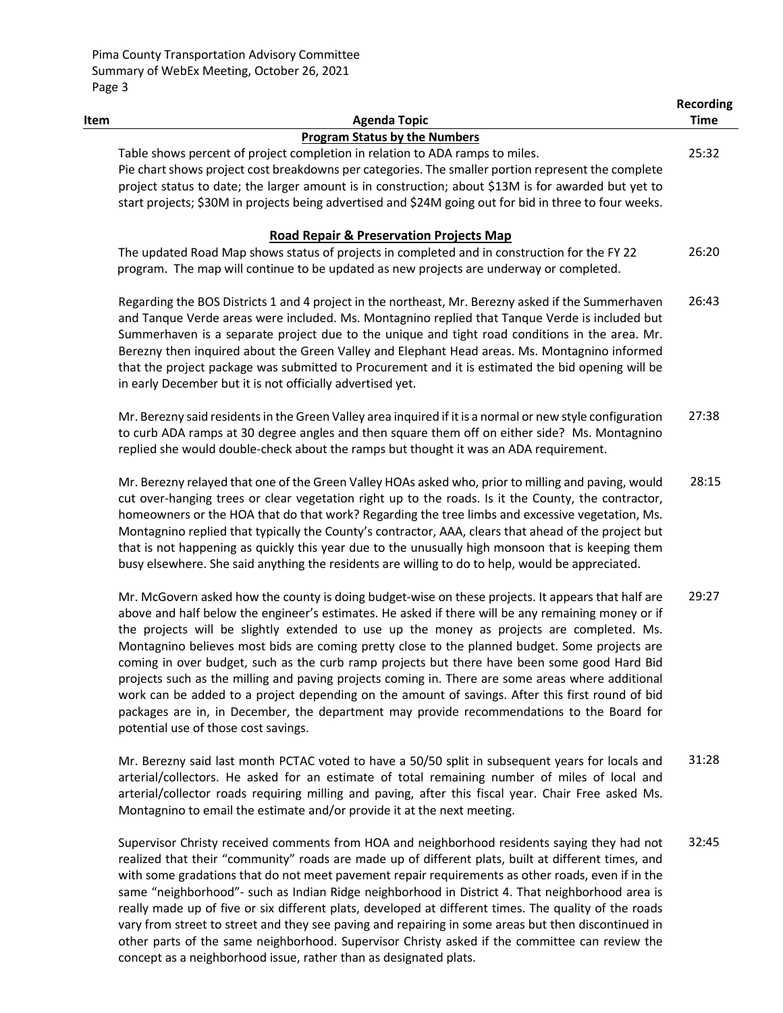|      |                                                                                                                                                                                                                                                                                                                                                                                                                                                                                                                                                                                                                                                                                                                                                                                                                                                       | <b>Recording</b> |
|------|-------------------------------------------------------------------------------------------------------------------------------------------------------------------------------------------------------------------------------------------------------------------------------------------------------------------------------------------------------------------------------------------------------------------------------------------------------------------------------------------------------------------------------------------------------------------------------------------------------------------------------------------------------------------------------------------------------------------------------------------------------------------------------------------------------------------------------------------------------|------------------|
| Item | <b>Agenda Topic</b>                                                                                                                                                                                                                                                                                                                                                                                                                                                                                                                                                                                                                                                                                                                                                                                                                                   | <b>Time</b>      |
|      | <b>Program Status by the Numbers</b>                                                                                                                                                                                                                                                                                                                                                                                                                                                                                                                                                                                                                                                                                                                                                                                                                  |                  |
|      | Table shows percent of project completion in relation to ADA ramps to miles.                                                                                                                                                                                                                                                                                                                                                                                                                                                                                                                                                                                                                                                                                                                                                                          | 25:32            |
|      | Pie chart shows project cost breakdowns per categories. The smaller portion represent the complete                                                                                                                                                                                                                                                                                                                                                                                                                                                                                                                                                                                                                                                                                                                                                    |                  |
|      | project status to date; the larger amount is in construction; about \$13M is for awarded but yet to                                                                                                                                                                                                                                                                                                                                                                                                                                                                                                                                                                                                                                                                                                                                                   |                  |
|      | start projects; \$30M in projects being advertised and \$24M going out for bid in three to four weeks.                                                                                                                                                                                                                                                                                                                                                                                                                                                                                                                                                                                                                                                                                                                                                |                  |
|      | <b>Road Repair &amp; Preservation Projects Map</b>                                                                                                                                                                                                                                                                                                                                                                                                                                                                                                                                                                                                                                                                                                                                                                                                    |                  |
|      | The updated Road Map shows status of projects in completed and in construction for the FY 22                                                                                                                                                                                                                                                                                                                                                                                                                                                                                                                                                                                                                                                                                                                                                          | 26:20            |
|      | program. The map will continue to be updated as new projects are underway or completed.                                                                                                                                                                                                                                                                                                                                                                                                                                                                                                                                                                                                                                                                                                                                                               |                  |
|      | Regarding the BOS Districts 1 and 4 project in the northeast, Mr. Berezny asked if the Summerhaven<br>and Tanque Verde areas were included. Ms. Montagnino replied that Tanque Verde is included but<br>Summerhaven is a separate project due to the unique and tight road conditions in the area. Mr.<br>Berezny then inquired about the Green Valley and Elephant Head areas. Ms. Montagnino informed<br>that the project package was submitted to Procurement and it is estimated the bid opening will be<br>in early December but it is not officially advertised yet.                                                                                                                                                                                                                                                                            | 26:43            |
|      | Mr. Berezny said residents in the Green Valley area inquired if it is a normal or new style configuration<br>to curb ADA ramps at 30 degree angles and then square them off on either side? Ms. Montagnino<br>replied she would double-check about the ramps but thought it was an ADA requirement.                                                                                                                                                                                                                                                                                                                                                                                                                                                                                                                                                   | 27:38            |
|      | Mr. Berezny relayed that one of the Green Valley HOAs asked who, prior to milling and paving, would<br>cut over-hanging trees or clear vegetation right up to the roads. Is it the County, the contractor,<br>homeowners or the HOA that do that work? Regarding the tree limbs and excessive vegetation, Ms.<br>Montagnino replied that typically the County's contractor, AAA, clears that ahead of the project but<br>that is not happening as quickly this year due to the unusually high monsoon that is keeping them<br>busy elsewhere. She said anything the residents are willing to do to help, would be appreciated.                                                                                                                                                                                                                        | 28:15            |
|      | Mr. McGovern asked how the county is doing budget-wise on these projects. It appears that half are<br>above and half below the engineer's estimates. He asked if there will be any remaining money or if<br>the projects will be slightly extended to use up the money as projects are completed. Ms.<br>Montagnino believes most bids are coming pretty close to the planned budget. Some projects are<br>coming in over budget, such as the curb ramp projects but there have been some good Hard Bid<br>projects such as the milling and paving projects coming in. There are some areas where additional<br>work can be added to a project depending on the amount of savings. After this first round of bid<br>packages are in, in December, the department may provide recommendations to the Board for<br>potential use of those cost savings. | 29:27            |
|      | Mr. Berezny said last month PCTAC voted to have a 50/50 split in subsequent years for locals and                                                                                                                                                                                                                                                                                                                                                                                                                                                                                                                                                                                                                                                                                                                                                      | 31:28            |

Mr. Berezny said last month PCTAC voted to have a 50/50 split in subsequent years for locals and arterial/collectors. He asked for an estimate of total remaining number of miles of local and arterial/collector roads requiring milling and paving, after this fiscal year. Chair Free asked Ms. Montagnino to email the estimate and/or provide it at the next meeting.

Supervisor Christy received comments from HOA and neighborhood residents saying they had not realized that their "community" roads are made up of different plats, built at different times, and with some gradations that do not meet pavement repair requirements as other roads, even if in the same "neighborhood"- such as Indian Ridge neighborhood in District 4. That neighborhood area is really made up of five or six different plats, developed at different times. The quality of the roads vary from street to street and they see paving and repairing in some areas but then discontinued in other parts of the same neighborhood. Supervisor Christy asked if the committee can review the concept as a neighborhood issue, rather than as designated plats. 32:45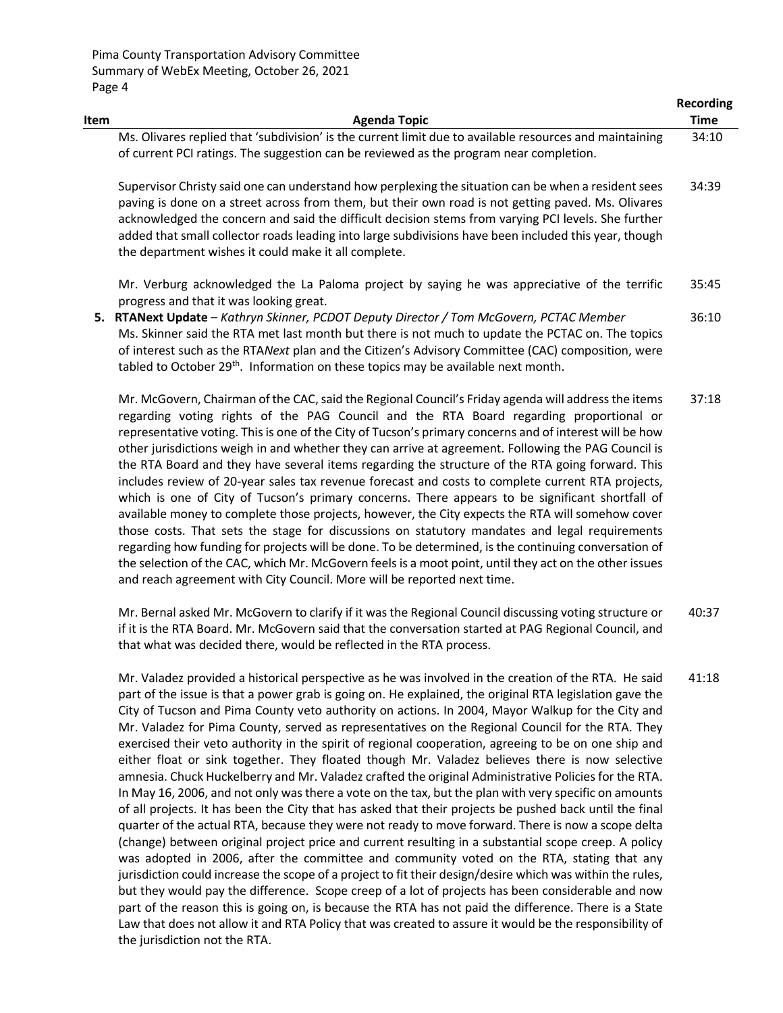|      |                                                                                                                                                                                                                                                                                                                                                                                                                                                                                                                                                                                                                                                                                                                                                                                                                                                                                                                                                                                                                                          | <b>Recording</b> |
|------|------------------------------------------------------------------------------------------------------------------------------------------------------------------------------------------------------------------------------------------------------------------------------------------------------------------------------------------------------------------------------------------------------------------------------------------------------------------------------------------------------------------------------------------------------------------------------------------------------------------------------------------------------------------------------------------------------------------------------------------------------------------------------------------------------------------------------------------------------------------------------------------------------------------------------------------------------------------------------------------------------------------------------------------|------------------|
| Item | <b>Agenda Topic</b>                                                                                                                                                                                                                                                                                                                                                                                                                                                                                                                                                                                                                                                                                                                                                                                                                                                                                                                                                                                                                      | <b>Time</b>      |
|      | Ms. Olivares replied that 'subdivision' is the current limit due to available resources and maintaining<br>of current PCI ratings. The suggestion can be reviewed as the program near completion.                                                                                                                                                                                                                                                                                                                                                                                                                                                                                                                                                                                                                                                                                                                                                                                                                                        | 34:10            |
|      | Supervisor Christy said one can understand how perplexing the situation can be when a resident sees<br>paving is done on a street across from them, but their own road is not getting paved. Ms. Olivares<br>acknowledged the concern and said the difficult decision stems from varying PCI levels. She further<br>added that small collector roads leading into large subdivisions have been included this year, though<br>the department wishes it could make it all complete.                                                                                                                                                                                                                                                                                                                                                                                                                                                                                                                                                        | 34:39            |
|      | Mr. Verburg acknowledged the La Paloma project by saying he was appreciative of the terrific<br>progress and that it was looking great.                                                                                                                                                                                                                                                                                                                                                                                                                                                                                                                                                                                                                                                                                                                                                                                                                                                                                                  | 35:45            |
|      | 5. RTANext Update - Kathryn Skinner, PCDOT Deputy Director / Tom McGovern, PCTAC Member<br>Ms. Skinner said the RTA met last month but there is not much to update the PCTAC on. The topics<br>of interest such as the RTANext plan and the Citizen's Advisory Committee (CAC) composition, were<br>tabled to October 29 <sup>th</sup> . Information on these topics may be available next month.                                                                                                                                                                                                                                                                                                                                                                                                                                                                                                                                                                                                                                        | 36:10            |
|      | Mr. McGovern, Chairman of the CAC, said the Regional Council's Friday agenda will address the items<br>regarding voting rights of the PAG Council and the RTA Board regarding proportional or<br>representative voting. This is one of the City of Tucson's primary concerns and of interest will be how<br>other jurisdictions weigh in and whether they can arrive at agreement. Following the PAG Council is<br>the RTA Board and they have several items regarding the structure of the RTA going forward. This<br>includes review of 20-year sales tax revenue forecast and costs to complete current RTA projects,<br>which is one of City of Tucson's primary concerns. There appears to be significant shortfall of<br>available money to complete those projects, however, the City expects the RTA will somehow cover<br>those costs. That sets the stage for discussions on statutory mandates and legal requirements<br>regarding how funding for projects will be done. To be determined, is the continuing conversation of | 37:18            |

Mr. Bernal asked Mr. McGovern to clarify if it was the Regional Council discussing voting structure or if it is the RTA Board. Mr. McGovern said that the conversation started at PAG Regional Council, and that what was decided there, would be reflected in the RTA process. 40:37

the selection of the CAC, which Mr. McGovern feels is a moot point, until they act on the other issues

and reach agreement with City Council. More will be reported next time.

Mr. Valadez provided a historical perspective as he was involved in the creation of the RTA. He said part of the issue is that a power grab is going on. He explained, the original RTA legislation gave the City of Tucson and Pima County veto authority on actions. In 2004, Mayor Walkup for the City and Mr. Valadez for Pima County, served as representatives on the Regional Council for the RTA. They exercised their veto authority in the spirit of regional cooperation, agreeing to be on one ship and either float or sink together. They floated though Mr. Valadez believes there is now selective amnesia. Chuck Huckelberry and Mr. Valadez crafted the original Administrative Policies for the RTA. In May 16, 2006, and not only was there a vote on the tax, but the plan with very specific on amounts of all projects. It has been the City that has asked that their projects be pushed back until the final quarter of the actual RTA, because they were not ready to move forward. There is now a scope delta (change) between original project price and current resulting in a substantial scope creep. A policy was adopted in 2006, after the committee and community voted on the RTA, stating that any jurisdiction could increase the scope of a project to fit their design/desire which was within the rules, but they would pay the difference. Scope creep of a lot of projects has been considerable and now part of the reason this is going on, is because the RTA has not paid the difference. There is a State Law that does not allow it and RTA Policy that was created to assure it would be the responsibility of the jurisdiction not the RTA. 41:18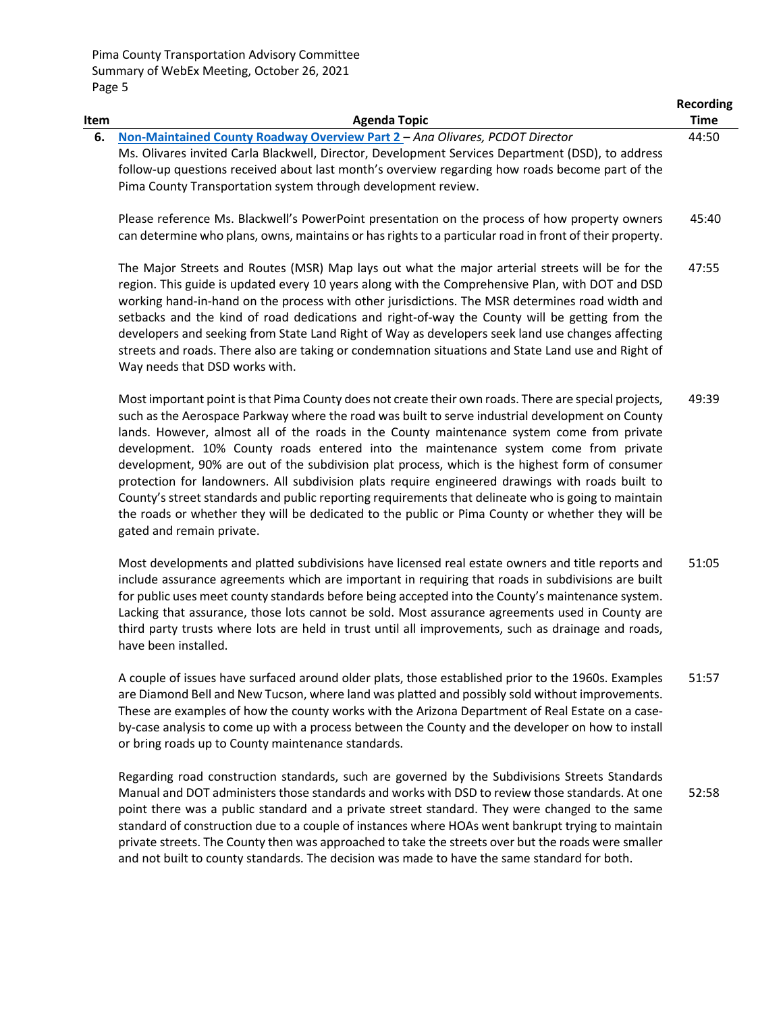Pima County Transportation Advisory Committee Summary of WebEx Meeting, October 26, 2021 Page 5

| Item | <b>Agenda Topic</b>                                                                                                                                                                                                                                                                                                                                                                                                                                                                                                                                                                                                                                                                                                                                                                                                                           | Recording<br><b>Time</b> |
|------|-----------------------------------------------------------------------------------------------------------------------------------------------------------------------------------------------------------------------------------------------------------------------------------------------------------------------------------------------------------------------------------------------------------------------------------------------------------------------------------------------------------------------------------------------------------------------------------------------------------------------------------------------------------------------------------------------------------------------------------------------------------------------------------------------------------------------------------------------|--------------------------|
| 6.   | Non-Maintained County Roadway Overview Part 2 - Ana Olivares, PCDOT Director<br>Ms. Olivares invited Carla Blackwell, Director, Development Services Department (DSD), to address<br>follow-up questions received about last month's overview regarding how roads become part of the<br>Pima County Transportation system through development review.                                                                                                                                                                                                                                                                                                                                                                                                                                                                                         | 44:50                    |
|      | Please reference Ms. Blackwell's PowerPoint presentation on the process of how property owners<br>can determine who plans, owns, maintains or has rights to a particular road in front of their property.                                                                                                                                                                                                                                                                                                                                                                                                                                                                                                                                                                                                                                     | 45:40                    |
|      | The Major Streets and Routes (MSR) Map lays out what the major arterial streets will be for the<br>region. This guide is updated every 10 years along with the Comprehensive Plan, with DOT and DSD<br>working hand-in-hand on the process with other jurisdictions. The MSR determines road width and<br>setbacks and the kind of road dedications and right-of-way the County will be getting from the<br>developers and seeking from State Land Right of Way as developers seek land use changes affecting<br>streets and roads. There also are taking or condemnation situations and State Land use and Right of<br>Way needs that DSD works with.                                                                                                                                                                                        | 47:55                    |
|      | Most important point is that Pima County does not create their own roads. There are special projects,<br>such as the Aerospace Parkway where the road was built to serve industrial development on County<br>lands. However, almost all of the roads in the County maintenance system come from private<br>development. 10% County roads entered into the maintenance system come from private<br>development, 90% are out of the subdivision plat process, which is the highest form of consumer<br>protection for landowners. All subdivision plats require engineered drawings with roads built to<br>County's street standards and public reporting requirements that delineate who is going to maintain<br>the roads or whether they will be dedicated to the public or Pima County or whether they will be<br>gated and remain private. | 49:39                    |

Most developments and platted subdivisions have licensed real estate owners and title reports and include assurance agreements which are important in requiring that roads in subdivisions are built for public uses meet county standards before being accepted into the County's maintenance system. Lacking that assurance, those lots cannot be sold. Most assurance agreements used in County are third party trusts where lots are held in trust until all improvements, such as drainage and roads, have been installed. 51:05

A couple of issues have surfaced around older plats, those established prior to the 1960s. Examples are Diamond Bell and New Tucson, where land was platted and possibly sold without improvements. These are examples of how the county works with the Arizona Department of Real Estate on a caseby-case analysis to come up with a process between the County and the developer on how to install or bring roads up to County maintenance standards. 51:57

Regarding road construction standards, such are governed by the Subdivisions Streets Standards Manual and DOT administers those standards and works with DSD to review those standards. At one point there was a public standard and a private street standard. They were changed to the same standard of construction due to a couple of instances where HOAs went bankrupt trying to maintain private streets. The County then was approached to take the streets over but the roads were smaller and not built to county standards. The decision was made to have the same standard for both. 52:58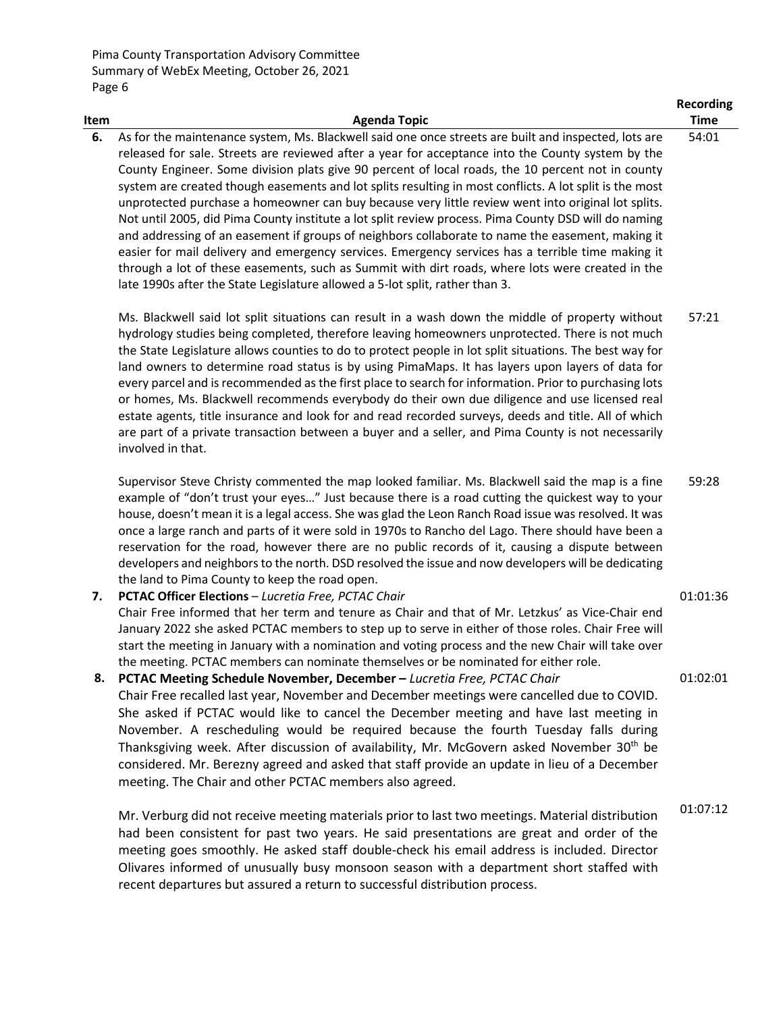Pima County Transportation Advisory Committee Summary of WebEx Meeting, October 26, 2021 Page 6

|      |                                                                                                                                                                                                                                                                                                                                                                                                                                                                                                                                                                                                                                                                                                                                                                                                                                                                                                                                                                                                                                      | <b>Recording</b> |
|------|--------------------------------------------------------------------------------------------------------------------------------------------------------------------------------------------------------------------------------------------------------------------------------------------------------------------------------------------------------------------------------------------------------------------------------------------------------------------------------------------------------------------------------------------------------------------------------------------------------------------------------------------------------------------------------------------------------------------------------------------------------------------------------------------------------------------------------------------------------------------------------------------------------------------------------------------------------------------------------------------------------------------------------------|------------------|
| Item | <b>Agenda Topic</b>                                                                                                                                                                                                                                                                                                                                                                                                                                                                                                                                                                                                                                                                                                                                                                                                                                                                                                                                                                                                                  | <b>Time</b>      |
| 6.   | As for the maintenance system, Ms. Blackwell said one once streets are built and inspected, lots are<br>released for sale. Streets are reviewed after a year for acceptance into the County system by the<br>County Engineer. Some division plats give 90 percent of local roads, the 10 percent not in county<br>system are created though easements and lot splits resulting in most conflicts. A lot split is the most<br>unprotected purchase a homeowner can buy because very little review went into original lot splits.<br>Not until 2005, did Pima County institute a lot split review process. Pima County DSD will do naming<br>and addressing of an easement if groups of neighbors collaborate to name the easement, making it<br>easier for mail delivery and emergency services. Emergency services has a terrible time making it<br>through a lot of these easements, such as Summit with dirt roads, where lots were created in the<br>late 1990s after the State Legislature allowed a 5-lot split, rather than 3. | 54:01            |
|      | Ms. Blackwell said lot split situations can result in a wash down the middle of property without<br>hydrology studies being completed, therefore leaving homeowners unprotected. There is not much<br>the State Legislature allows counties to do to protect people in lot split situations. The best way for<br>land owners to determine road status is by using PimaMaps. It has layers upon layers of data for<br>every parcel and is recommended as the first place to search for information. Prior to purchasing lots<br>or homes, Ms. Blackwell recommends everybody do their own due diligence and use licensed real<br>estate agents, title insurance and look for and read recorded surveys, deeds and title. All of which<br>are part of a private transaction between a buyer and a seller, and Pima County is not necessarily<br>involved in that.                                                                                                                                                                      | 57:21            |
|      | Supervisor Steve Christy commented the map looked familiar. Ms. Blackwell said the map is a fine<br>example of "don't trust your eyes" Just because there is a road cutting the quickest way to your<br>house, doesn't mean it is a legal access. She was glad the Leon Ranch Road issue was resolved. It was<br>once a large ranch and parts of it were sold in 1970s to Rancho del Lago. There should have been a<br>reservation for the road, however there are no public records of it, causing a dispute between<br>developers and neighbors to the north. DSD resolved the issue and now developers will be dedicating<br>the land to Pima County to keep the road open.                                                                                                                                                                                                                                                                                                                                                       | 59:28            |
| 7.   | <b>PCTAC Officer Elections - Lucretia Free, PCTAC Chair</b><br>Chair Free informed that her term and tenure as Chair and that of Mr. Letzkus' as Vice-Chair end<br>January 2022 she asked PCTAC members to step up to serve in either of those roles. Chair Free will<br>start the meeting in January with a nomination and voting process and the new Chair will take over<br>the meeting. PCTAC members can nominate themselves or be nominated for either role.                                                                                                                                                                                                                                                                                                                                                                                                                                                                                                                                                                   | 01:01:36         |
| 8.   | PCTAC Meeting Schedule November, December - Lucretia Free, PCTAC Chair<br>Chair Free recalled last year, November and December meetings were cancelled due to COVID.<br>She asked if PCTAC would like to cancel the December meeting and have last meeting in<br>November. A rescheduling would be required because the fourth Tuesday falls during<br>Thanksgiving week. After discussion of availability, Mr. McGovern asked November 30 <sup>th</sup> be<br>considered. Mr. Berezny agreed and asked that staff provide an update in lieu of a December<br>meeting. The Chair and other PCTAC members also agreed.                                                                                                                                                                                                                                                                                                                                                                                                                | 01:02:01         |
|      | Mr. Verburg did not receive meeting materials prior to last two meetings. Material distribution<br>had been consistent for past two years. He said presentations are great and order of the                                                                                                                                                                                                                                                                                                                                                                                                                                                                                                                                                                                                                                                                                                                                                                                                                                          | 01:07:12         |

had been consistent for past two years. He said presentations are great and order of the meeting goes smoothly. He asked staff double-check his email address is included. Director Olivares informed of unusually busy monsoon season with a department short staffed with recent departures but assured a return to successful distribution process.